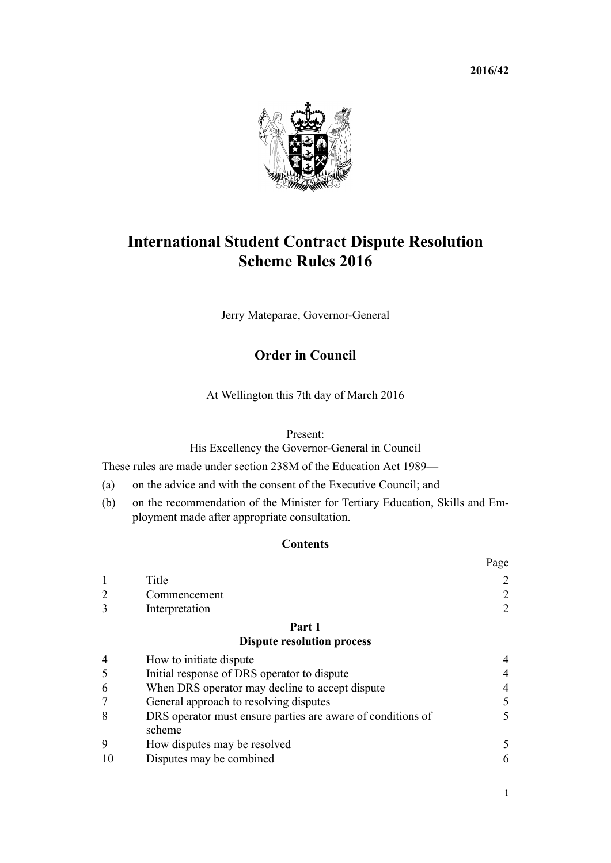**2016/42**



# **International Student Contract Dispute Resolution Scheme Rules 2016**

Jerry Mateparae, Governor-General

# **Order in Council**

At Wellington this 7th day of March 2016

Present:

His Excellency the Governor-General in Council

These rules are made under [section 238M](http://prd-lgnz-nlb.prd.pco.net.nz/pdflink.aspx?id=DLM6890472) of the Education Act 1989—

- (a) on the advice and with the consent of the Executive Council; and
- (b) on the recommendation of the Minister for Tertiary Education, Skills and Employment made after appropriate consultation.

# **Contents**

|                |                                                             | Page           |
|----------------|-------------------------------------------------------------|----------------|
|                | Title                                                       |                |
| $\overline{2}$ | Commencement                                                | 2              |
| 3              | Interpretation                                              | 2              |
|                | Part 1                                                      |                |
|                | <b>Dispute resolution process</b>                           |                |
| $\overline{4}$ | How to initiate dispute                                     | 4              |
| 5              | Initial response of DRS operator to dispute                 | $\overline{4}$ |
| 6              | When DRS operator may decline to accept dispute             | 4              |
|                | General approach to resolving disputes                      | 5              |
| 8              | DRS operator must ensure parties are aware of conditions of |                |

[9](#page-4-0) [How disputes may be resolved](#page-4-0) [5](#page-4-0) [10](#page-5-0) [Disputes may be combined](#page-5-0) [6](#page-5-0)

[scheme](#page-4-0)

1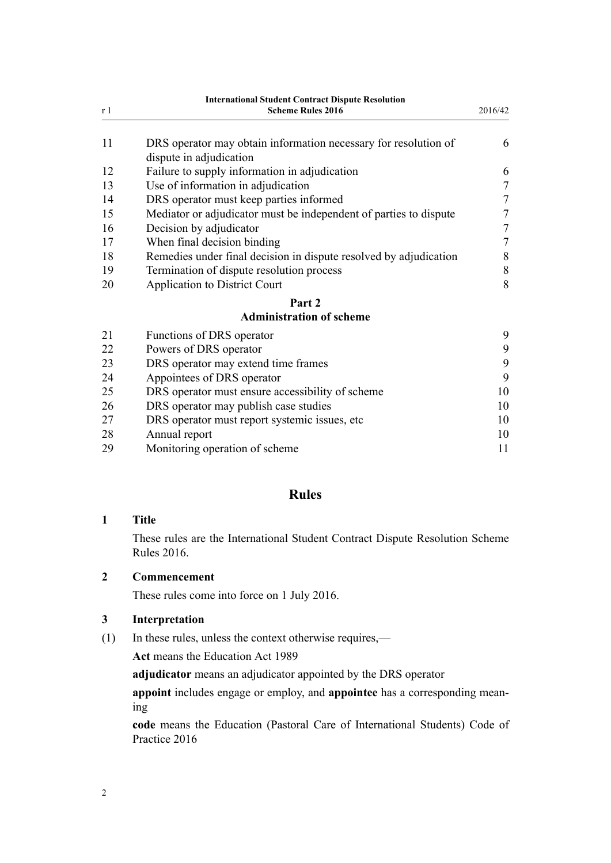<span id="page-1-0"></span>

| <b>International Student Contract Dispute Resolution</b> |                                                                                            |                  |
|----------------------------------------------------------|--------------------------------------------------------------------------------------------|------------------|
| r <sub>1</sub>                                           | <b>Scheme Rules 2016</b>                                                                   | 2016/42          |
| 11                                                       | DRS operator may obtain information necessary for resolution of<br>dispute in adjudication | 6                |
| 12                                                       | Failure to supply information in adjudication                                              | 6                |
| 13                                                       | Use of information in adjudication                                                         | $\tau$           |
| 14                                                       | DRS operator must keep parties informed                                                    | $\boldsymbol{7}$ |
| 15                                                       | Mediator or adjudicator must be independent of parties to dispute                          | $\boldsymbol{7}$ |
| 16                                                       | Decision by adjudicator                                                                    | $\boldsymbol{7}$ |
| 17                                                       | When final decision binding                                                                | $\overline{7}$   |
| 18                                                       | Remedies under final decision in dispute resolved by adjudication                          | $\,8\,$          |
| 19                                                       | Termination of dispute resolution process                                                  | $\,8$            |
| 20                                                       | <b>Application to District Court</b>                                                       | 8                |
|                                                          | Part 2                                                                                     |                  |
|                                                          | <b>Administration of scheme</b>                                                            |                  |
| 21                                                       | Functions of DRS operator                                                                  | 9                |
| 22                                                       | Powers of DRS operator                                                                     | 9                |
| 23                                                       | DRS operator may extend time frames                                                        | 9                |
| 24                                                       | Appointees of DRS operator                                                                 | 9                |
| 25                                                       | DRS operator must ensure accessibility of scheme                                           | 10               |
| 26                                                       | DRS operator may publish case studies                                                      | 10               |
| 27                                                       | DRS operator must report systemic issues, etc                                              | 10               |
| 28                                                       | Annual report                                                                              | 10               |
| 29                                                       | Monitoring operation of scheme                                                             | 11               |

# **Rules**

# **1 Title**

These rules are the International Student Contract Dispute Resolution Scheme Rules 2016.

# **2 Commencement**

These rules come into force on 1 July 2016.

#### **3 Interpretation**

(1) In these rules, unless the context otherwise requires,—

**Act** means the [Education Act 1989](http://prd-lgnz-nlb.prd.pco.net.nz/pdflink.aspx?id=DLM175958)

**adjudicator** means an adjudicator appointed by the DRS operator

**appoint** includes engage or employ, and **appointee** has a corresponding meaning

**code** means the Education (Pastoral Care of International Students) Code of Practice 2016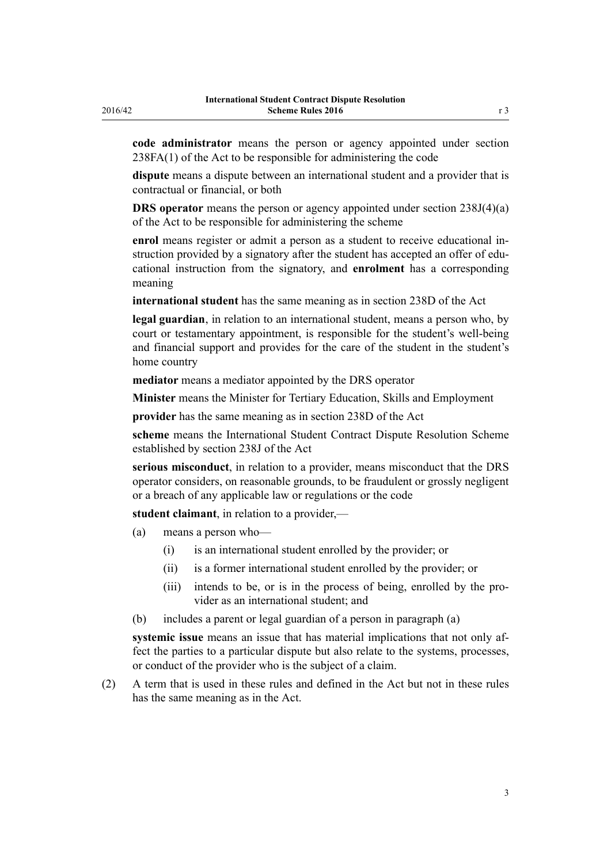**code administrator** means the person or agency appointed under section 238FA(1) of the Act to be responsible for administering the code

**dispute** means a dispute between an international student and a provider that is contractual or financial, or both

**DRS operator** means the person or agency appointed under section 238J(4)(a) of the Act to be responsible for administering the scheme

**enrol** means register or admit a person as a student to receive educational instruction provided by a signatory after the student has accepted an offer of educational instruction from the signatory, and **enrolment** has a corresponding meaning

**international student** has the same meaning as in [section 238D](http://prd-lgnz-nlb.prd.pco.net.nz/pdflink.aspx?id=DLM185907) of the Act

**legal guardian**, in relation to an international student, means a person who, by court or testamentary appointment, is responsible for the student's well-being and financial support and provides for the care of the student in the student's home country

**mediator** means a mediator appointed by the DRS operator

**Minister** means the Minister for Tertiary Education, Skills and Employment

**provider** has the same meaning as in [section 238D](http://prd-lgnz-nlb.prd.pco.net.nz/pdflink.aspx?id=DLM185907) of the Act

**scheme** means the International Student Contract Dispute Resolution Scheme established by section 238J of the Act

**serious misconduct**, in relation to a provider, means misconduct that the DRS operator considers, on reasonable grounds, to be fraudulent or grossly negligent or a breach of any applicable law or regulations or the code

**student claimant**, in relation to a provider,—

- (a) means a person who—
	- (i) is an international student enrolled by the provider; or
	- (ii) is a former international student enrolled by the provider; or
	- (iii) intends to be, or is in the process of being, enrolled by the provider as an international student; and
- (b) includes a parent or legal guardian of a person in paragraph (a)

**systemic issue** means an issue that has material implications that not only affect the parties to a particular dispute but also relate to the systems, processes, or conduct of the provider who is the subject of a claim.

(2) A term that is used in these rules and defined in the Act but not in these rules has the same meaning as in the Act.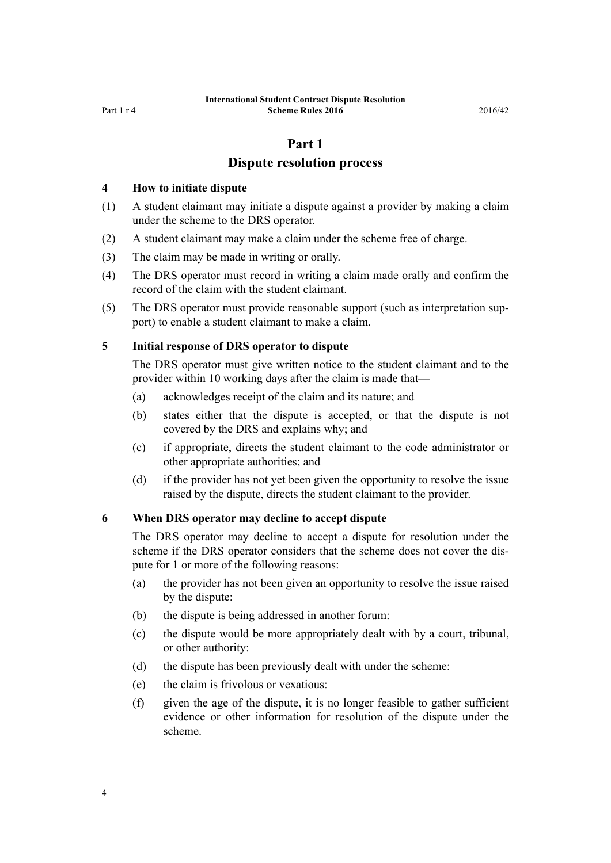# **Part 1**

# **Dispute resolution process**

#### <span id="page-3-0"></span>**4 How to initiate dispute**

- (1) A student claimant may initiate a dispute against a provider by making a claim under the scheme to the DRS operator.
- (2) A student claimant may make a claim under the scheme free of charge.
- (3) The claim may be made in writing or orally.
- (4) The DRS operator must record in writing a claim made orally and confirm the record of the claim with the student claimant.
- (5) The DRS operator must provide reasonable support (such as interpretation support) to enable a student claimant to make a claim.

#### **5 Initial response of DRS operator to dispute**

The DRS operator must give written notice to the student claimant and to the provider within 10 working days after the claim is made that—

- (a) acknowledges receipt of the claim and its nature; and
- (b) states either that the dispute is accepted, or that the dispute is not covered by the DRS and explains why; and
- (c) if appropriate, directs the student claimant to the code administrator or other appropriate authorities; and
- (d) if the provider has not yet been given the opportunity to resolve the issue raised by the dispute, directs the student claimant to the provider.

#### **6 When DRS operator may decline to accept dispute**

The DRS operator may decline to accept a dispute for resolution under the scheme if the DRS operator considers that the scheme does not cover the dispute for 1 or more of the following reasons:

- (a) the provider has not been given an opportunity to resolve the issue raised by the dispute:
- (b) the dispute is being addressed in another forum:
- (c) the dispute would be more appropriately dealt with by a court, tribunal, or other authority:
- (d) the dispute has been previously dealt with under the scheme:
- (e) the claim is frivolous or vexatious:
- (f) given the age of the dispute, it is no longer feasible to gather sufficient evidence or other information for resolution of the dispute under the scheme.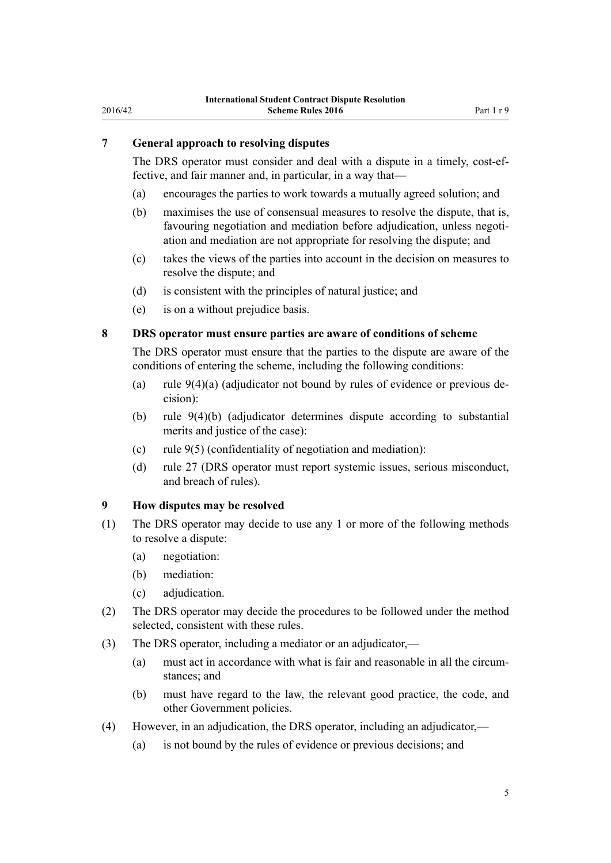# <span id="page-4-0"></span>**7 General approach to resolving disputes**

The DRS operator must consider and deal with a dispute in a timely, cost-effective, and fair manner and, in particular, in a way that—

- (a) encourages the parties to work towards a mutually agreed solution; and
- (b) maximises the use of consensual measures to resolve the dispute, that is, favouring negotiation and mediation before adjudication, unless negotiation and mediation are not appropriate for resolving the dispute; and
- (c) takes the views of the parties into account in the decision on measures to resolve the dispute; and
- (d) is consistent with the principles of natural justice; and
- (e) is on a without prejudice basis.

# **8 DRS operator must ensure parties are aware of conditions of scheme**

The DRS operator must ensure that the parties to the dispute are aware of the conditions of entering the scheme, including the following conditions:

- (a) rule 9(4)(a) (adjudicator not bound by rules of evidence or previous decision):
- (b) rule 9(4)(b) (adjudicator determines dispute according to substantial merits and justice of the case):
- (c) rule 9(5) (confidentiality of negotiation and mediation):
- (d) [rule 27](#page-9-0) (DRS operator must report systemic issues, serious misconduct, and breach of rules).

#### **9 How disputes may be resolved**

- (1) The DRS operator may decide to use any 1 or more of the following methods to resolve a dispute:
	- (a) negotiation:
	- (b) mediation:
	- (c) adjudication.
- (2) The DRS operator may decide the procedures to be followed under the method selected, consistent with these rules.
- (3) The DRS operator, including a mediator or an adjudicator,—
	- (a) must act in accordance with what is fair and reasonable in all the circumstances; and
	- (b) must have regard to the law, the relevant good practice, the code, and other Government policies.
- (4) However, in an adjudication, the DRS operator, including an adjudicator,—
	- (a) is not bound by the rules of evidence or previous decisions; and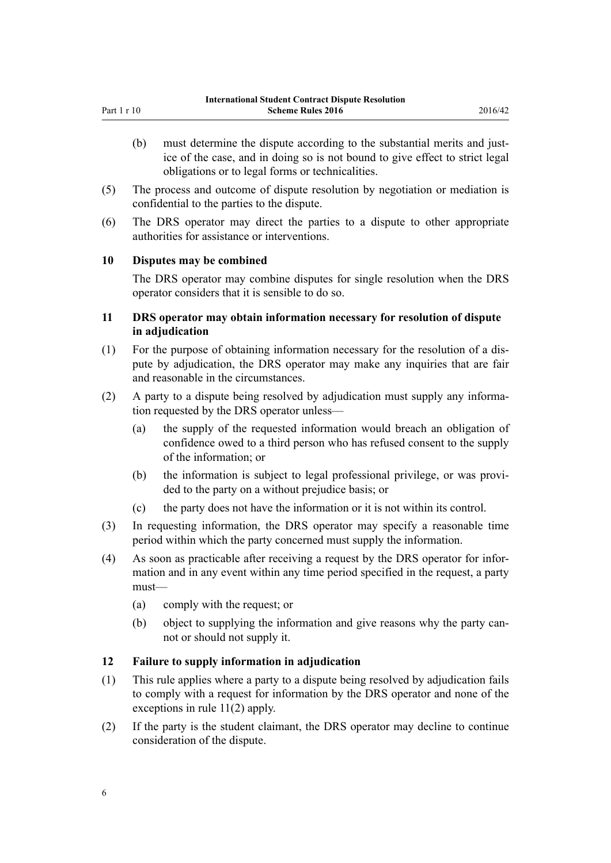- <span id="page-5-0"></span>(b) must determine the dispute according to the substantial merits and justice of the case, and in doing so is not bound to give effect to strict legal obligations or to legal forms or technicalities.
- (5) The process and outcome of dispute resolution by negotiation or mediation is confidential to the parties to the dispute.
- (6) The DRS operator may direct the parties to a dispute to other appropriate authorities for assistance or interventions.

# **10 Disputes may be combined**

The DRS operator may combine disputes for single resolution when the DRS operator considers that it is sensible to do so.

## **11 DRS operator may obtain information necessary for resolution of dispute in adjudication**

- (1) For the purpose of obtaining information necessary for the resolution of a dispute by adjudication, the DRS operator may make any inquiries that are fair and reasonable in the circumstances.
- (2) A party to a dispute being resolved by adjudication must supply any information requested by the DRS operator unless—
	- (a) the supply of the requested information would breach an obligation of confidence owed to a third person who has refused consent to the supply of the information; or
	- (b) the information is subject to legal professional privilege, or was provided to the party on a without prejudice basis; or
	- (c) the party does not have the information or it is not within its control.
- (3) In requesting information, the DRS operator may specify a reasonable time period within which the party concerned must supply the information.
- (4) As soon as practicable after receiving a request by the DRS operator for information and in any event within any time period specified in the request, a party must—
	- (a) comply with the request; or
	- (b) object to supplying the information and give reasons why the party cannot or should not supply it.

# **12 Failure to supply information in adjudication**

- (1) This rule applies where a party to a dispute being resolved by adjudication fails to comply with a request for information by the DRS operator and none of the exceptions in rule 11(2) apply.
- (2) If the party is the student claimant, the DRS operator may decline to continue consideration of the dispute.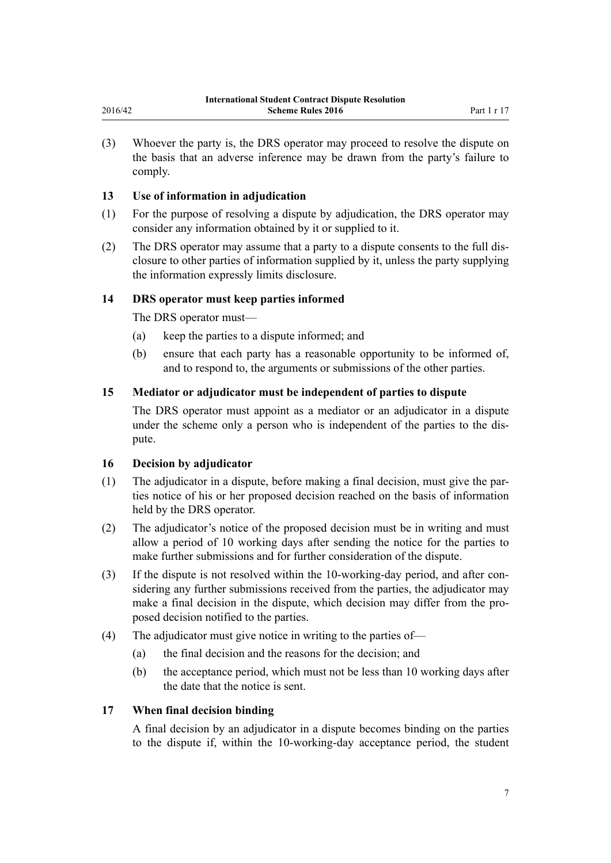(3) Whoever the party is, the DRS operator may proceed to resolve the dispute on the basis that an adverse inference may be drawn from the party's failure to comply.

# **13 Use of information in adjudication**

<span id="page-6-0"></span>2016/42

- (1) For the purpose of resolving a dispute by adjudication, the DRS operator may consider any information obtained by it or supplied to it.
- (2) The DRS operator may assume that a party to a dispute consents to the full disclosure to other parties of information supplied by it, unless the party supplying the information expressly limits disclosure.

## **14 DRS operator must keep parties informed**

The DRS operator must—

- (a) keep the parties to a dispute informed; and
- (b) ensure that each party has a reasonable opportunity to be informed of, and to respond to, the arguments or submissions of the other parties.

# **15 Mediator or adjudicator must be independent of parties to dispute**

The DRS operator must appoint as a mediator or an adjudicator in a dispute under the scheme only a person who is independent of the parties to the dispute.

#### **16 Decision by adjudicator**

- (1) The adjudicator in a dispute, before making a final decision, must give the parties notice of his or her proposed decision reached on the basis of information held by the DRS operator.
- (2) The adjudicator's notice of the proposed decision must be in writing and must allow a period of 10 working days after sending the notice for the parties to make further submissions and for further consideration of the dispute.
- (3) If the dispute is not resolved within the 10-working-day period, and after considering any further submissions received from the parties, the adjudicator may make a final decision in the dispute, which decision may differ from the proposed decision notified to the parties.
- (4) The adjudicator must give notice in writing to the parties of—
	- (a) the final decision and the reasons for the decision; and
	- (b) the acceptance period, which must not be less than 10 working days after the date that the notice is sent.

#### **17 When final decision binding**

A final decision by an adjudicator in a dispute becomes binding on the parties to the dispute if, within the 10-working-day acceptance period, the student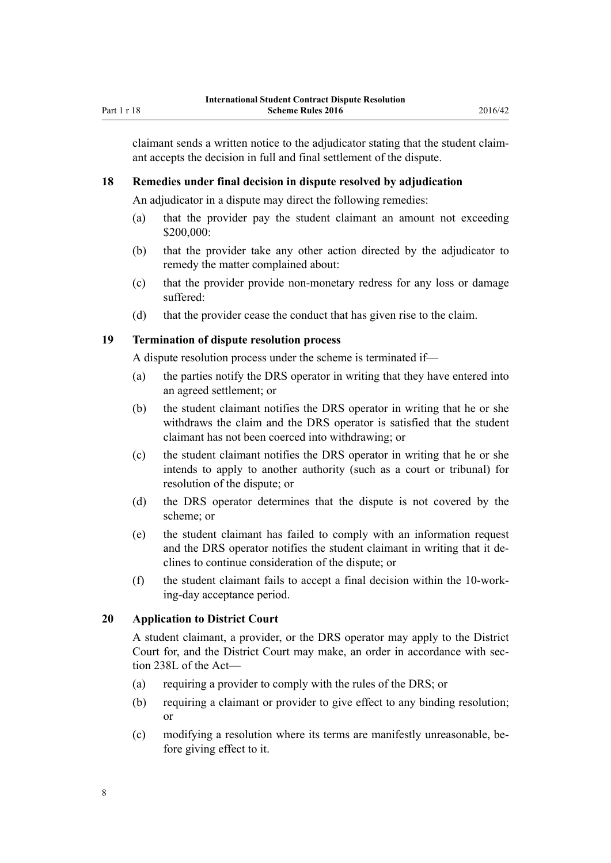<span id="page-7-0"></span>claimant sends a written notice to the adjudicator stating that the student claimant accepts the decision in full and final settlement of the dispute.

#### **18 Remedies under final decision in dispute resolved by adjudication**

An adjudicator in a dispute may direct the following remedies:

- (a) that the provider pay the student claimant an amount not exceeding  $$200,000$
- (b) that the provider take any other action directed by the adjudicator to remedy the matter complained about:
- (c) that the provider provide non-monetary redress for any loss or damage suffered:
- (d) that the provider cease the conduct that has given rise to the claim.

#### **19 Termination of dispute resolution process**

A dispute resolution process under the scheme is terminated if—

- (a) the parties notify the DRS operator in writing that they have entered into an agreed settlement; or
- (b) the student claimant notifies the DRS operator in writing that he or she withdraws the claim and the DRS operator is satisfied that the student claimant has not been coerced into withdrawing; or
- (c) the student claimant notifies the DRS operator in writing that he or she intends to apply to another authority (such as a court or tribunal) for resolution of the dispute; or
- (d) the DRS operator determines that the dispute is not covered by the scheme; or
- (e) the student claimant has failed to comply with an information request and the DRS operator notifies the student claimant in writing that it declines to continue consideration of the dispute; or
- (f) the student claimant fails to accept a final decision within the 10-working-day acceptance period.

#### **20 Application to District Court**

A student claimant, a provider, or the DRS operator may apply to the District Court for, and the District Court may make, an order in accordance with section 238L of the Act—

- (a) requiring a provider to comply with the rules of the DRS; or
- (b) requiring a claimant or provider to give effect to any binding resolution; or
- (c) modifying a resolution where its terms are manifestly unreasonable, before giving effect to it.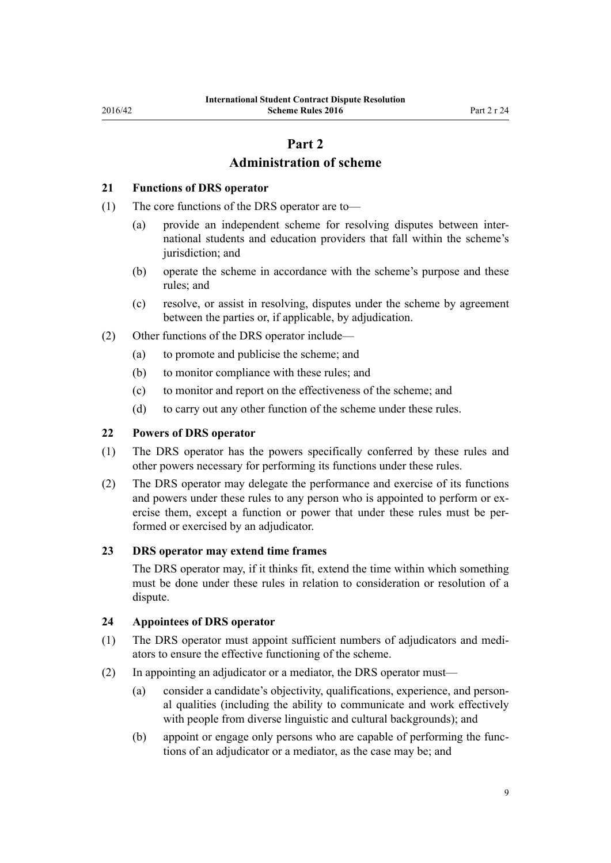# **Part 2**

# **Administration of scheme**

#### <span id="page-8-0"></span>**21 Functions of DRS operator**

- (1) The core functions of the DRS operator are to—
	- (a) provide an independent scheme for resolving disputes between international students and education providers that fall within the scheme's jurisdiction; and
	- (b) operate the scheme in accordance with the scheme's purpose and these rules; and
	- (c) resolve, or assist in resolving, disputes under the scheme by agreement between the parties or, if applicable, by adjudication.
- (2) Other functions of the DRS operator include—
	- (a) to promote and publicise the scheme; and
	- (b) to monitor compliance with these rules; and
	- (c) to monitor and report on the effectiveness of the scheme; and
	- (d) to carry out any other function of the scheme under these rules.

### **22 Powers of DRS operator**

- (1) The DRS operator has the powers specifically conferred by these rules and other powers necessary for performing its functions under these rules.
- (2) The DRS operator may delegate the performance and exercise of its functions and powers under these rules to any person who is appointed to perform or exercise them, except a function or power that under these rules must be performed or exercised by an adjudicator.

#### **23 DRS operator may extend time frames**

The DRS operator may, if it thinks fit, extend the time within which something must be done under these rules in relation to consideration or resolution of a dispute.

#### **24 Appointees of DRS operator**

- (1) The DRS operator must appoint sufficient numbers of adjudicators and mediators to ensure the effective functioning of the scheme.
- (2) In appointing an adjudicator or a mediator, the DRS operator must—
	- (a) consider a candidate's objectivity, qualifications, experience, and personal qualities (including the ability to communicate and work effectively with people from diverse linguistic and cultural backgrounds); and
	- (b) appoint or engage only persons who are capable of performing the functions of an adjudicator or a mediator, as the case may be; and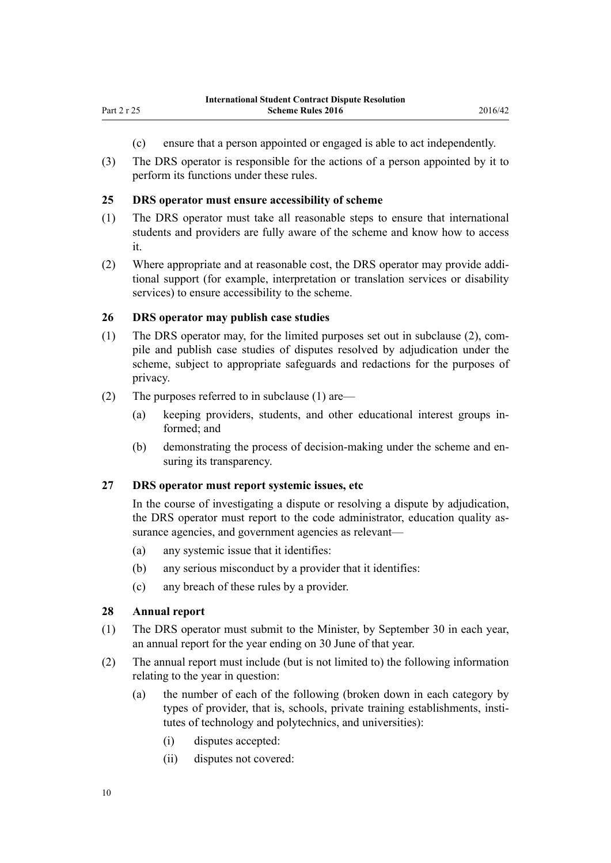- (c) ensure that a person appointed or engaged is able to act independently.
- <span id="page-9-0"></span>(3) The DRS operator is responsible for the actions of a person appointed by it to perform its functions under these rules.

#### **25 DRS operator must ensure accessibility of scheme**

- (1) The DRS operator must take all reasonable steps to ensure that international students and providers are fully aware of the scheme and know how to access it.
- (2) Where appropriate and at reasonable cost, the DRS operator may provide additional support (for example, interpretation or translation services or disability services) to ensure accessibility to the scheme.

#### **26 DRS operator may publish case studies**

- (1) The DRS operator may, for the limited purposes set out in subclause (2), compile and publish case studies of disputes resolved by adjudication under the scheme, subject to appropriate safeguards and redactions for the purposes of privacy.
- (2) The purposes referred to in subclause (1) are—
	- (a) keeping providers, students, and other educational interest groups informed; and
	- (b) demonstrating the process of decision-making under the scheme and ensuring its transparency.

#### **27 DRS operator must report systemic issues, etc**

In the course of investigating a dispute or resolving a dispute by adjudication, the DRS operator must report to the code administrator, education quality assurance agencies, and government agencies as relevant—

- (a) any systemic issue that it identifies:
- (b) any serious misconduct by a provider that it identifies:
- (c) any breach of these rules by a provider.

#### **28 Annual report**

- (1) The DRS operator must submit to the Minister, by September 30 in each year, an annual report for the year ending on 30 June of that year.
- (2) The annual report must include (but is not limited to) the following information relating to the year in question:
	- (a) the number of each of the following (broken down in each category by types of provider, that is, schools, private training establishments, institutes of technology and polytechnics, and universities):
		- (i) disputes accepted:
		- (ii) disputes not covered: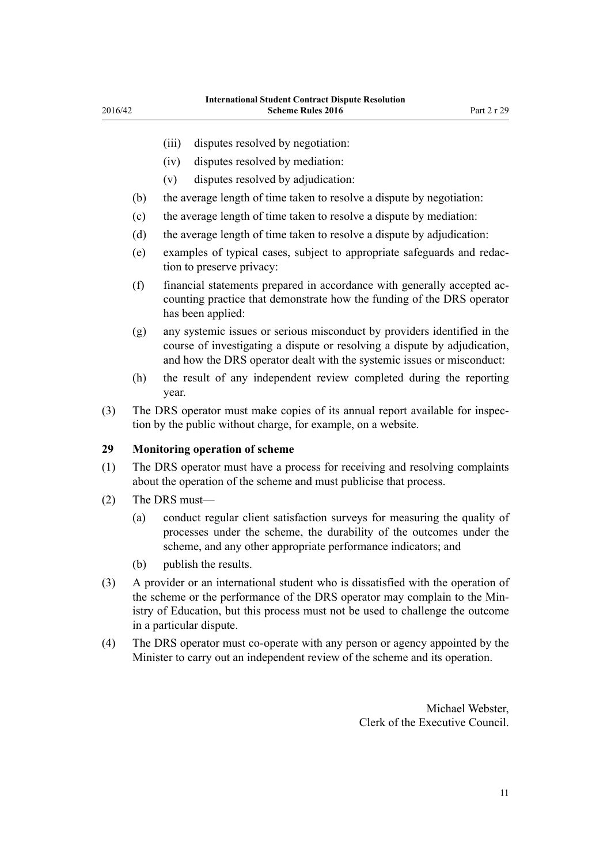- <span id="page-10-0"></span>(iii) disputes resolved by negotiation:
- (iv) disputes resolved by mediation:
- (v) disputes resolved by adjudication:
- (b) the average length of time taken to resolve a dispute by negotiation:
- (c) the average length of time taken to resolve a dispute by mediation:
- (d) the average length of time taken to resolve a dispute by adjudication:
- (e) examples of typical cases, subject to appropriate safeguards and redaction to preserve privacy:
- (f) financial statements prepared in accordance with generally accepted accounting practice that demonstrate how the funding of the DRS operator has been applied:
- (g) any systemic issues or serious misconduct by providers identified in the course of investigating a dispute or resolving a dispute by adjudication, and how the DRS operator dealt with the systemic issues or misconduct:
- (h) the result of any independent review completed during the reporting year.
- (3) The DRS operator must make copies of its annual report available for inspection by the public without charge, for example, on a website.

#### **29 Monitoring operation of scheme**

- (1) The DRS operator must have a process for receiving and resolving complaints about the operation of the scheme and must publicise that process.
- (2) The DRS must—
	- (a) conduct regular client satisfaction surveys for measuring the quality of processes under the scheme, the durability of the outcomes under the scheme, and any other appropriate performance indicators; and
	- (b) publish the results.
- (3) A provider or an international student who is dissatisfied with the operation of the scheme or the performance of the DRS operator may complain to the Ministry of Education, but this process must not be used to challenge the outcome in a particular dispute.
- (4) The DRS operator must co-operate with any person or agency appointed by the Minister to carry out an independent review of the scheme and its operation.

Michael Webster, Clerk of the Executive Council.